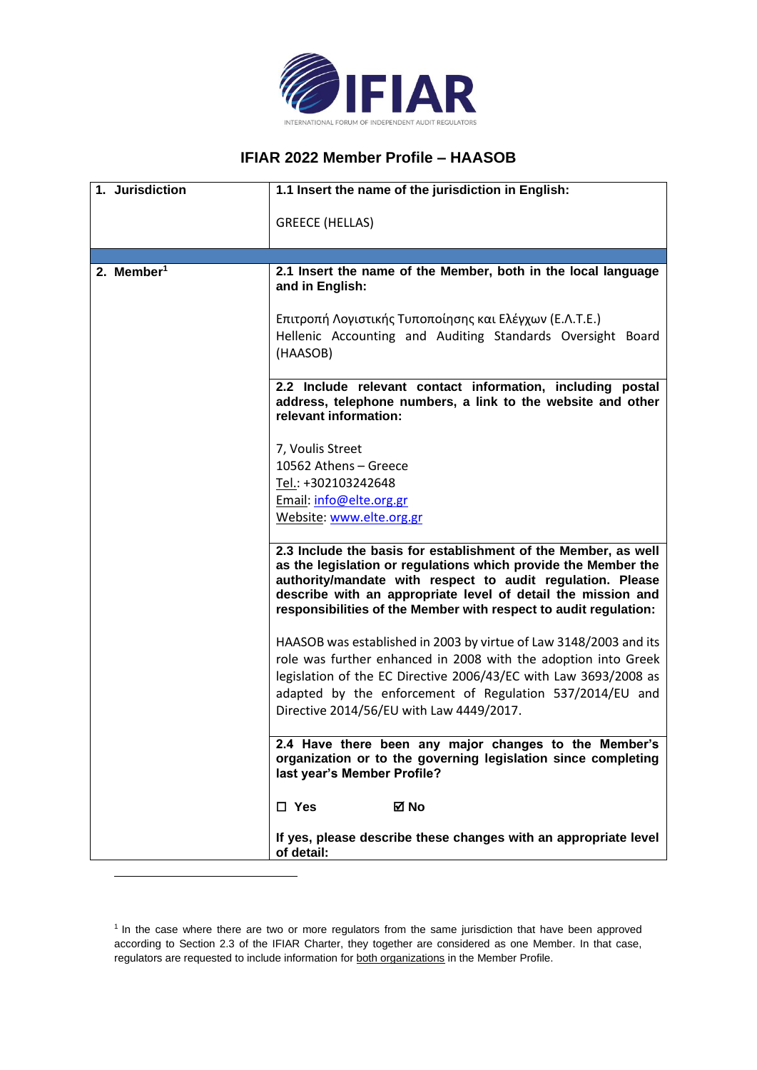

## **IFIAR 2022 Member Profile – HAASOB**

| 1. Jurisdiction        | 1.1 Insert the name of the jurisdiction in English:                                                                                                                                                                                                                                                                                |
|------------------------|------------------------------------------------------------------------------------------------------------------------------------------------------------------------------------------------------------------------------------------------------------------------------------------------------------------------------------|
|                        | <b>GREECE (HELLAS)</b>                                                                                                                                                                                                                                                                                                             |
|                        |                                                                                                                                                                                                                                                                                                                                    |
| 2. Member <sup>1</sup> | 2.1 Insert the name of the Member, both in the local language<br>and in English:                                                                                                                                                                                                                                                   |
|                        | Επιτροπή Λογιστικής Τυποποίησης και Ελέγχων (Ε.Λ.Τ.Ε.)<br>Hellenic Accounting and Auditing Standards Oversight Board<br>(HAASOB)                                                                                                                                                                                                   |
|                        | 2.2 Include relevant contact information, including postal<br>address, telephone numbers, a link to the website and other<br>relevant information:                                                                                                                                                                                 |
|                        | 7, Voulis Street                                                                                                                                                                                                                                                                                                                   |
|                        | 10562 Athens - Greece                                                                                                                                                                                                                                                                                                              |
|                        | Tel.: +302103242648                                                                                                                                                                                                                                                                                                                |
|                        | Email: info@elte.org.gr                                                                                                                                                                                                                                                                                                            |
|                        | Website: www.elte.org.gr                                                                                                                                                                                                                                                                                                           |
|                        | 2.3 Include the basis for establishment of the Member, as well<br>as the legislation or regulations which provide the Member the<br>authority/mandate with respect to audit regulation. Please<br>describe with an appropriate level of detail the mission and<br>responsibilities of the Member with respect to audit regulation: |
|                        | HAASOB was established in 2003 by virtue of Law 3148/2003 and its<br>role was further enhanced in 2008 with the adoption into Greek<br>legislation of the EC Directive 2006/43/EC with Law 3693/2008 as                                                                                                                            |
|                        | adapted by the enforcement of Regulation 537/2014/EU and<br>Directive 2014/56/EU with Law 4449/2017.                                                                                                                                                                                                                               |
|                        | 2.4 Have there been any major changes to the Member's<br>organization or to the governing legislation since completing<br>last year's Member Profile?                                                                                                                                                                              |
|                        | $\Box$ Yes<br>⊠ No                                                                                                                                                                                                                                                                                                                 |
|                        | If yes, please describe these changes with an appropriate level<br>of detail:                                                                                                                                                                                                                                                      |

<sup>&</sup>lt;sup>1</sup> In the case where there are two or more regulators from the same jurisdiction that have been approved according to Section 2.3 of the IFIAR Charter, they together are considered as one Member. In that case, regulators are requested to include information for both organizations in the Member Profile.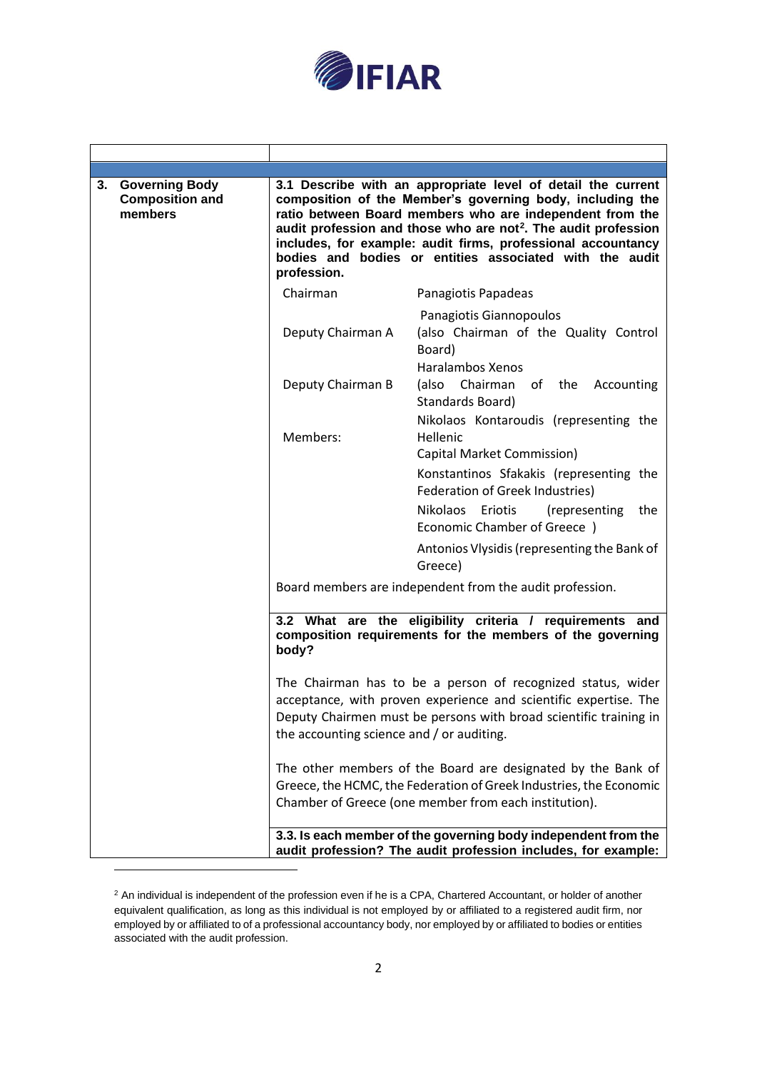

Τ

┑

 $\overline{1}$ 

| 3. Governing Body<br><b>Composition and</b><br>members | profession.                               | 3.1 Describe with an appropriate level of detail the current<br>composition of the Member's governing body, including the<br>ratio between Board members who are independent from the<br>audit profession and those who are not <sup>2</sup> . The audit profession<br>includes, for example: audit firms, professional accountancy<br>bodies and bodies or entities associated with the audit |
|--------------------------------------------------------|-------------------------------------------|------------------------------------------------------------------------------------------------------------------------------------------------------------------------------------------------------------------------------------------------------------------------------------------------------------------------------------------------------------------------------------------------|
|                                                        | Chairman                                  | Panagiotis Papadeas                                                                                                                                                                                                                                                                                                                                                                            |
|                                                        | Deputy Chairman A                         | Panagiotis Giannopoulos<br>(also Chairman of the Quality Control<br>Board)<br><b>Haralambos Xenos</b>                                                                                                                                                                                                                                                                                          |
|                                                        | Deputy Chairman B                         | Chairman of the Accounting<br>(also<br>Standards Board)                                                                                                                                                                                                                                                                                                                                        |
|                                                        | Members:                                  | Nikolaos Kontaroudis (representing the<br>Hellenic<br>Capital Market Commission)<br>Konstantinos Sfakakis (representing the<br>Federation of Greek Industries)<br><b>Nikolaos</b><br>Eriotis<br>(representing<br>the<br>Economic Chamber of Greece )                                                                                                                                           |
|                                                        |                                           | Antonios Vlysidis (representing the Bank of<br>Greece)                                                                                                                                                                                                                                                                                                                                         |
|                                                        |                                           | Board members are independent from the audit profession.                                                                                                                                                                                                                                                                                                                                       |
|                                                        | body?                                     | 3.2 What are the eligibility criteria / requirements and<br>composition requirements for the members of the governing                                                                                                                                                                                                                                                                          |
|                                                        | the accounting science and / or auditing. | The Chairman has to be a person of recognized status, wider<br>acceptance, with proven experience and scientific expertise. The<br>Deputy Chairmen must be persons with broad scientific training in                                                                                                                                                                                           |
|                                                        |                                           | The other members of the Board are designated by the Bank of<br>Greece, the HCMC, the Federation of Greek Industries, the Economic<br>Chamber of Greece (one member from each institution).                                                                                                                                                                                                    |
|                                                        |                                           | 3.3. Is each member of the governing body independent from the<br>audit profession? The audit profession includes, for example:                                                                                                                                                                                                                                                                |

<sup>&</sup>lt;sup>2</sup> An individual is independent of the profession even if he is a CPA, Chartered Accountant, or holder of another equivalent qualification, as long as this individual is not employed by or affiliated to a registered audit firm, nor employed by or affiliated to of a professional accountancy body, nor employed by or affiliated to bodies or entities associated with the audit profession.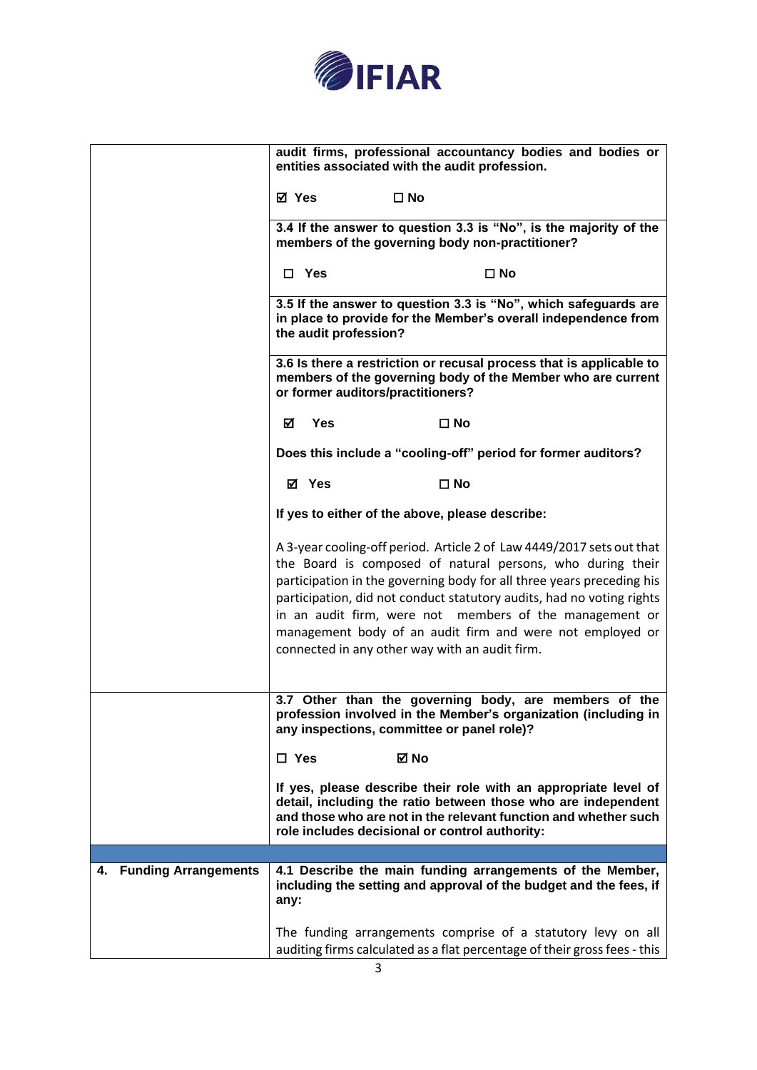

|                                   |                                                                                                                                                                         |                       |              | audit firms, professional accountancy bodies and bodies or<br>entities associated with the audit profession.                                                                                                                                                                                                                                                                                                                                                    |
|-----------------------------------|-------------------------------------------------------------------------------------------------------------------------------------------------------------------------|-----------------------|--------------|-----------------------------------------------------------------------------------------------------------------------------------------------------------------------------------------------------------------------------------------------------------------------------------------------------------------------------------------------------------------------------------------------------------------------------------------------------------------|
|                                   | ⊠ Yes                                                                                                                                                                   |                       | $\square$ No |                                                                                                                                                                                                                                                                                                                                                                                                                                                                 |
|                                   | 3.4 If the answer to question 3.3 is "No", is the majority of the<br>members of the governing body non-practitioner?                                                    |                       |              |                                                                                                                                                                                                                                                                                                                                                                                                                                                                 |
|                                   |                                                                                                                                                                         | $\Box$ Yes            |              | $\square$ No                                                                                                                                                                                                                                                                                                                                                                                                                                                    |
|                                   |                                                                                                                                                                         | the audit profession? |              | 3.5 If the answer to question 3.3 is "No", which safeguards are<br>in place to provide for the Member's overall independence from                                                                                                                                                                                                                                                                                                                               |
|                                   | 3.6 Is there a restriction or recusal process that is applicable to<br>members of the governing body of the Member who are current<br>or former auditors/practitioners? |                       |              |                                                                                                                                                                                                                                                                                                                                                                                                                                                                 |
|                                   | ☑                                                                                                                                                                       | <b>Yes</b>            |              | $\square$ No                                                                                                                                                                                                                                                                                                                                                                                                                                                    |
|                                   | Does this include a "cooling-off" period for former auditors?                                                                                                           |                       |              |                                                                                                                                                                                                                                                                                                                                                                                                                                                                 |
|                                   |                                                                                                                                                                         | ⊠ Yes                 |              | $\square$ No                                                                                                                                                                                                                                                                                                                                                                                                                                                    |
|                                   |                                                                                                                                                                         |                       |              | If yes to either of the above, please describe:                                                                                                                                                                                                                                                                                                                                                                                                                 |
|                                   |                                                                                                                                                                         |                       |              | A 3-year cooling-off period. Article 2 of Law 4449/2017 sets out that<br>the Board is composed of natural persons, who during their<br>participation in the governing body for all three years preceding his<br>participation, did not conduct statutory audits, had no voting rights<br>in an audit firm, were not members of the management or<br>management body of an audit firm and were not employed or<br>connected in any other way with an audit firm. |
|                                   |                                                                                                                                                                         |                       |              | 3.7 Other than the governing body, are members of the<br>profession involved in the Member's organization (including in<br>any inspections, committee or panel role)?                                                                                                                                                                                                                                                                                           |
|                                   | $\square$ Yes                                                                                                                                                           |                       | ⊠ No         |                                                                                                                                                                                                                                                                                                                                                                                                                                                                 |
|                                   |                                                                                                                                                                         |                       |              | If yes, please describe their role with an appropriate level of<br>detail, including the ratio between those who are independent<br>and those who are not in the relevant function and whether such<br>role includes decisional or control authority:                                                                                                                                                                                                           |
|                                   |                                                                                                                                                                         |                       |              |                                                                                                                                                                                                                                                                                                                                                                                                                                                                 |
| <b>Funding Arrangements</b><br>4. | any:                                                                                                                                                                    |                       |              | 4.1 Describe the main funding arrangements of the Member,<br>including the setting and approval of the budget and the fees, if                                                                                                                                                                                                                                                                                                                                  |
|                                   |                                                                                                                                                                         |                       |              | The funding arrangements comprise of a statutory levy on all<br>auditing firms calculated as a flat percentage of their gross fees - this                                                                                                                                                                                                                                                                                                                       |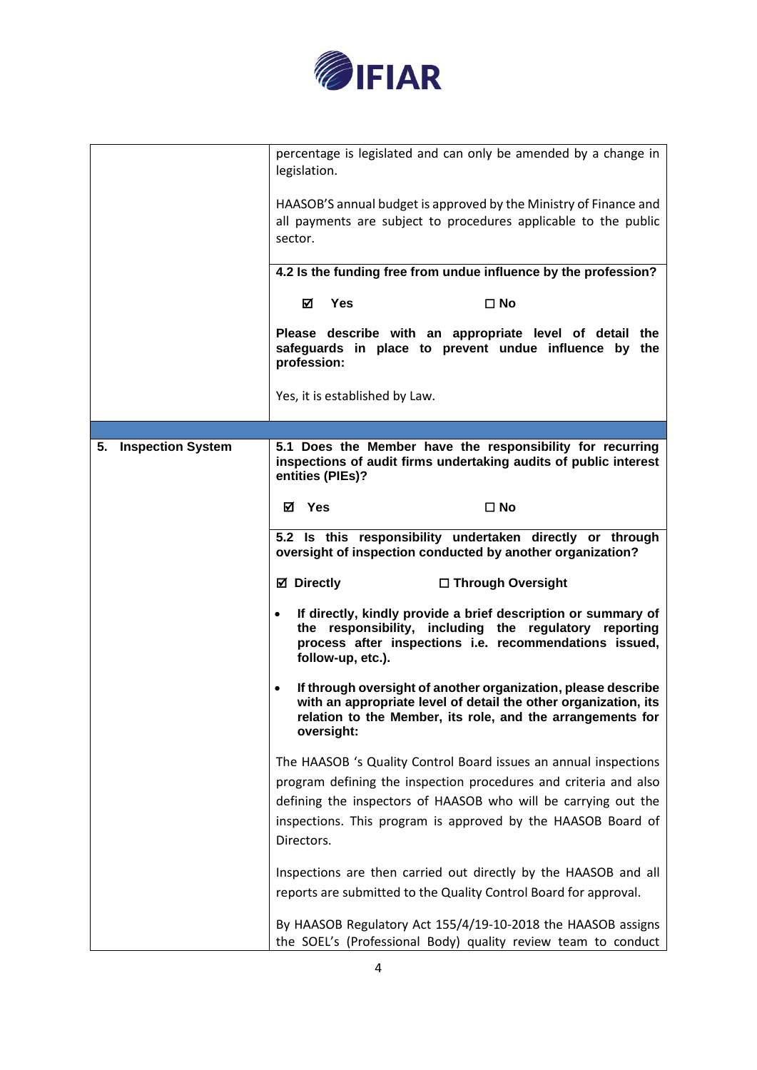

|                      | percentage is legislated and can only be amended by a change in<br>legislation.                                                                                                                                     |  |
|----------------------|---------------------------------------------------------------------------------------------------------------------------------------------------------------------------------------------------------------------|--|
|                      | HAASOB'S annual budget is approved by the Ministry of Finance and<br>all payments are subject to procedures applicable to the public<br>sector.                                                                     |  |
|                      | 4.2 Is the funding free from undue influence by the profession?                                                                                                                                                     |  |
|                      | ☑<br><b>Yes</b><br>$\square$ No                                                                                                                                                                                     |  |
|                      | Please describe with an appropriate level of detail the<br>safeguards in place to prevent undue influence by the<br>profession:                                                                                     |  |
|                      | Yes, it is established by Law.                                                                                                                                                                                      |  |
|                      |                                                                                                                                                                                                                     |  |
| 5. Inspection System | 5.1 Does the Member have the responsibility for recurring<br>inspections of audit firms undertaking audits of public interest<br>entities (PIEs)?                                                                   |  |
|                      | Yes<br>$\square$ No<br>☑                                                                                                                                                                                            |  |
|                      | 5.2 Is this responsibility undertaken directly or through<br>oversight of inspection conducted by another organization?                                                                                             |  |
|                      | <b>Ø</b> Directly<br>□ Through Oversight                                                                                                                                                                            |  |
|                      | If directly, kindly provide a brief description or summary of<br>$\bullet$<br>the responsibility, including the regulatory reporting<br>process after inspections i.e. recommendations issued,<br>follow-up, etc.). |  |
|                      | If through oversight of another organization, please describe<br>with an appropriate level of detail the other organization, its<br>relation to the Member, its role, and the arrangements for<br>oversight:        |  |
|                      | The HAASOB 's Quality Control Board issues an annual inspections                                                                                                                                                    |  |
|                      | program defining the inspection procedures and criteria and also                                                                                                                                                    |  |
|                      | defining the inspectors of HAASOB who will be carrying out the<br>inspections. This program is approved by the HAASOB Board of                                                                                      |  |
|                      | Directors.                                                                                                                                                                                                          |  |
|                      | Inspections are then carried out directly by the HAASOB and all                                                                                                                                                     |  |
|                      | reports are submitted to the Quality Control Board for approval.                                                                                                                                                    |  |
|                      | By HAASOB Regulatory Act 155/4/19-10-2018 the HAASOB assigns<br>the SOEL's (Professional Body) quality review team to conduct                                                                                       |  |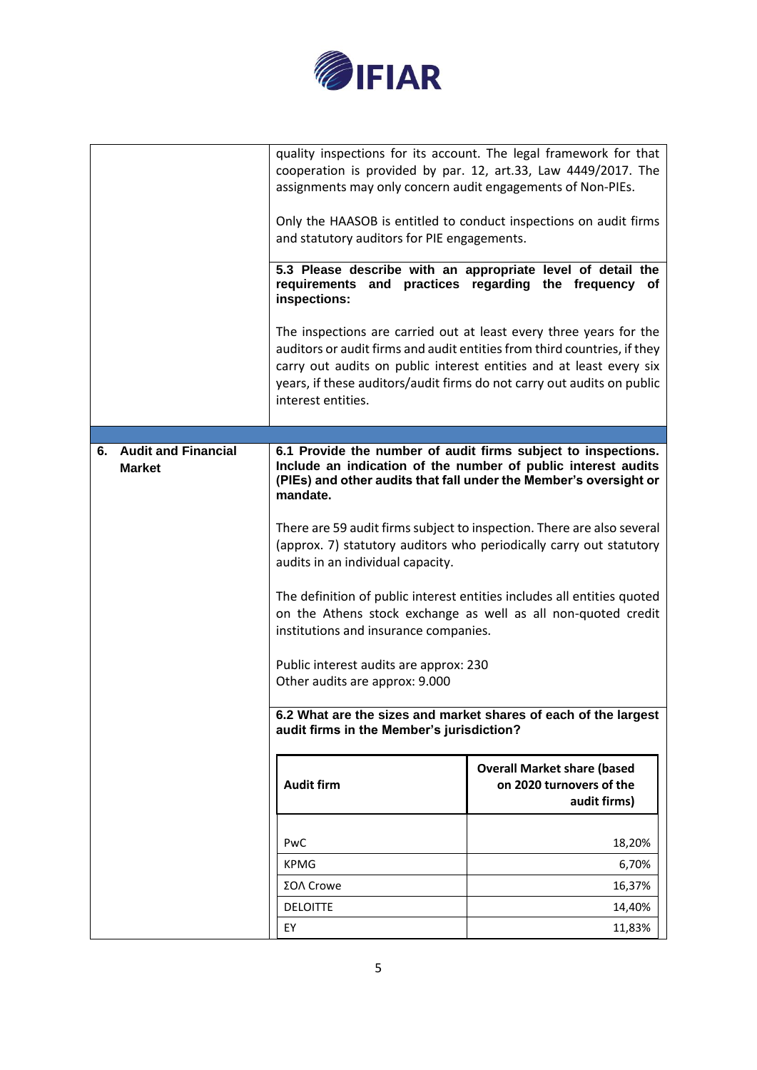

|                                         | assignments may only concern audit engagements of Non-PIEs.<br>and statutory auditors for PIE engagements.<br>inspections:<br>interest entities.                                                                                                                                                                                                                                                                                                                                                                                                                                                                                                                       | quality inspections for its account. The legal framework for that<br>cooperation is provided by par. 12, art.33, Law 4449/2017. The<br>Only the HAASOB is entitled to conduct inspections on audit firms<br>5.3 Please describe with an appropriate level of detail the<br>requirements and practices regarding the frequency of<br>The inspections are carried out at least every three years for the<br>auditors or audit firms and audit entities from third countries, if they<br>carry out audits on public interest entities and at least every six<br>years, if these auditors/audit firms do not carry out audits on public |  |
|-----------------------------------------|------------------------------------------------------------------------------------------------------------------------------------------------------------------------------------------------------------------------------------------------------------------------------------------------------------------------------------------------------------------------------------------------------------------------------------------------------------------------------------------------------------------------------------------------------------------------------------------------------------------------------------------------------------------------|-------------------------------------------------------------------------------------------------------------------------------------------------------------------------------------------------------------------------------------------------------------------------------------------------------------------------------------------------------------------------------------------------------------------------------------------------------------------------------------------------------------------------------------------------------------------------------------------------------------------------------------|--|
|                                         |                                                                                                                                                                                                                                                                                                                                                                                                                                                                                                                                                                                                                                                                        |                                                                                                                                                                                                                                                                                                                                                                                                                                                                                                                                                                                                                                     |  |
| 6. Audit and Financial<br><b>Market</b> | 6.1 Provide the number of audit firms subject to inspections.<br>Include an indication of the number of public interest audits<br>(PIEs) and other audits that fall under the Member's oversight or<br>mandate.<br>There are 59 audit firms subject to inspection. There are also several<br>(approx. 7) statutory auditors who periodically carry out statutory<br>audits in an individual capacity.<br>The definition of public interest entities includes all entities quoted<br>on the Athens stock exchange as well as all non-quoted credit<br>institutions and insurance companies.<br>Public interest audits are approx: 230<br>Other audits are approx: 9.000 |                                                                                                                                                                                                                                                                                                                                                                                                                                                                                                                                                                                                                                     |  |
|                                         | 6.2 What are the sizes and market shares of each of the largest<br>audit firms in the Member's jurisdiction?                                                                                                                                                                                                                                                                                                                                                                                                                                                                                                                                                           |                                                                                                                                                                                                                                                                                                                                                                                                                                                                                                                                                                                                                                     |  |
|                                         | <b>Audit firm</b>                                                                                                                                                                                                                                                                                                                                                                                                                                                                                                                                                                                                                                                      | <b>Overall Market share (based</b><br>on 2020 turnovers of the<br>audit firms)                                                                                                                                                                                                                                                                                                                                                                                                                                                                                                                                                      |  |
|                                         | PwC<br><b>KPMG</b>                                                                                                                                                                                                                                                                                                                                                                                                                                                                                                                                                                                                                                                     | 18,20%<br>6,70%                                                                                                                                                                                                                                                                                                                                                                                                                                                                                                                                                                                                                     |  |
|                                         |                                                                                                                                                                                                                                                                                                                                                                                                                                                                                                                                                                                                                                                                        |                                                                                                                                                                                                                                                                                                                                                                                                                                                                                                                                                                                                                                     |  |
|                                         | ΣΟΛ Crowe                                                                                                                                                                                                                                                                                                                                                                                                                                                                                                                                                                                                                                                              | 16,37%                                                                                                                                                                                                                                                                                                                                                                                                                                                                                                                                                                                                                              |  |
|                                         | <b>DELOITTE</b>                                                                                                                                                                                                                                                                                                                                                                                                                                                                                                                                                                                                                                                        | 14,40%                                                                                                                                                                                                                                                                                                                                                                                                                                                                                                                                                                                                                              |  |
|                                         | EY                                                                                                                                                                                                                                                                                                                                                                                                                                                                                                                                                                                                                                                                     | 11,83%                                                                                                                                                                                                                                                                                                                                                                                                                                                                                                                                                                                                                              |  |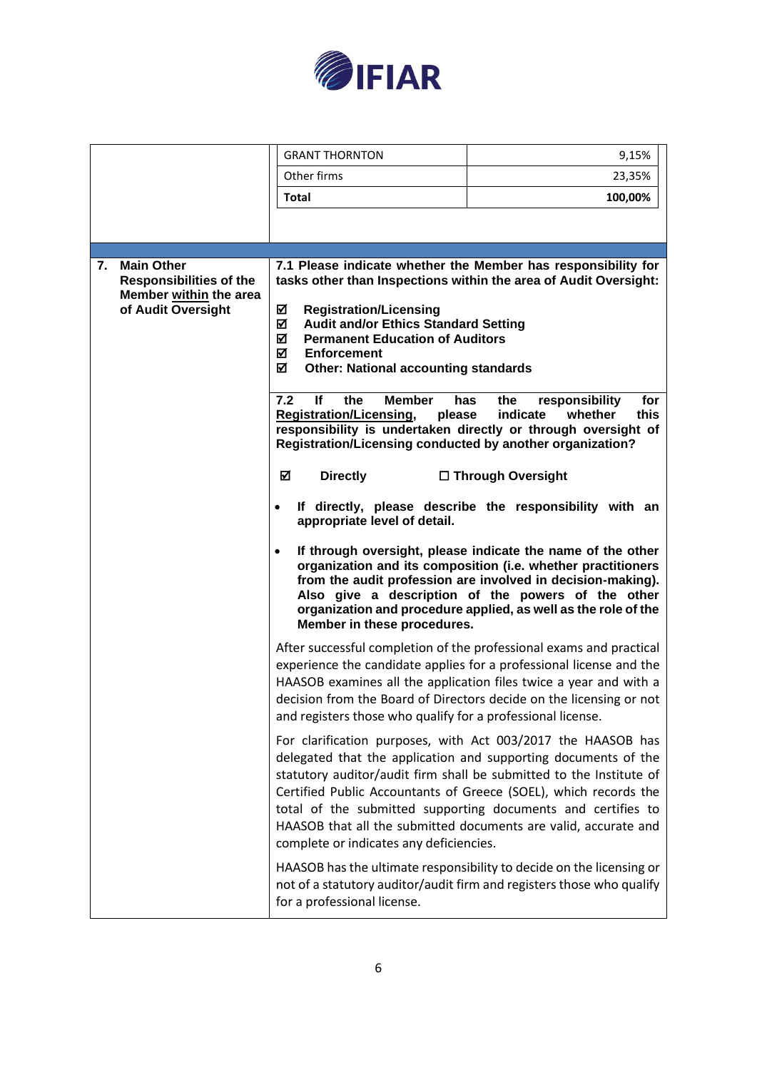

|                                                                                                           | <b>GRANT THORNTON</b>                                                                                                                                                                                                                                                                                                                                                                                                                                                                                                                              | 9,15%                                                                                                                                                                                                                                                                                                                                                                                                                                                                                                                                                                                                                                                                                                                                                                                                                                                                                                                                                                                                                                      |
|-----------------------------------------------------------------------------------------------------------|----------------------------------------------------------------------------------------------------------------------------------------------------------------------------------------------------------------------------------------------------------------------------------------------------------------------------------------------------------------------------------------------------------------------------------------------------------------------------------------------------------------------------------------------------|--------------------------------------------------------------------------------------------------------------------------------------------------------------------------------------------------------------------------------------------------------------------------------------------------------------------------------------------------------------------------------------------------------------------------------------------------------------------------------------------------------------------------------------------------------------------------------------------------------------------------------------------------------------------------------------------------------------------------------------------------------------------------------------------------------------------------------------------------------------------------------------------------------------------------------------------------------------------------------------------------------------------------------------------|
|                                                                                                           | Other firms                                                                                                                                                                                                                                                                                                                                                                                                                                                                                                                                        | 23,35%                                                                                                                                                                                                                                                                                                                                                                                                                                                                                                                                                                                                                                                                                                                                                                                                                                                                                                                                                                                                                                     |
|                                                                                                           | <b>Total</b>                                                                                                                                                                                                                                                                                                                                                                                                                                                                                                                                       | 100,00%                                                                                                                                                                                                                                                                                                                                                                                                                                                                                                                                                                                                                                                                                                                                                                                                                                                                                                                                                                                                                                    |
|                                                                                                           |                                                                                                                                                                                                                                                                                                                                                                                                                                                                                                                                                    |                                                                                                                                                                                                                                                                                                                                                                                                                                                                                                                                                                                                                                                                                                                                                                                                                                                                                                                                                                                                                                            |
|                                                                                                           |                                                                                                                                                                                                                                                                                                                                                                                                                                                                                                                                                    |                                                                                                                                                                                                                                                                                                                                                                                                                                                                                                                                                                                                                                                                                                                                                                                                                                                                                                                                                                                                                                            |
| <b>Main Other</b><br>7.<br><b>Responsibilities of the</b><br>Member within the area<br>of Audit Oversight | <b>Registration/Licensing</b><br>☑<br>☑<br><b>Audit and/or Ethics Standard Setting</b><br>冈<br><b>Permanent Education of Auditors</b><br>М<br><b>Enforcement</b><br>☑<br><b>Other: National accounting standards</b><br>7.2<br>lf<br>the<br><b>Member</b><br><b>Registration/Licensing,</b><br>please<br>Registration/Licensing conducted by another organization?<br>☑<br><b>Directly</b><br>$\bullet$<br>appropriate level of detail.<br>$\bullet$<br>Member in these procedures.<br>and registers those who qualify for a professional license. | 7.1 Please indicate whether the Member has responsibility for<br>tasks other than Inspections within the area of Audit Oversight:<br>has<br>the<br>responsibility<br>for<br>indicate<br>this<br>whether<br>responsibility is undertaken directly or through oversight of<br>□ Through Oversight<br>If directly, please describe the responsibility with an<br>If through oversight, please indicate the name of the other<br>organization and its composition (i.e. whether practitioners<br>from the audit profession are involved in decision-making).<br>Also give a description of the powers of the other<br>organization and procedure applied, as well as the role of the<br>After successful completion of the professional exams and practical<br>experience the candidate applies for a professional license and the<br>HAASOB examines all the application files twice a year and with a<br>decision from the Board of Directors decide on the licensing or not<br>For clarification purposes, with Act 003/2017 the HAASOB has |
|                                                                                                           | complete or indicates any deficiencies.                                                                                                                                                                                                                                                                                                                                                                                                                                                                                                            | delegated that the application and supporting documents of the<br>statutory auditor/audit firm shall be submitted to the Institute of<br>Certified Public Accountants of Greece (SOEL), which records the<br>total of the submitted supporting documents and certifies to<br>HAASOB that all the submitted documents are valid, accurate and                                                                                                                                                                                                                                                                                                                                                                                                                                                                                                                                                                                                                                                                                               |
|                                                                                                           | for a professional license.                                                                                                                                                                                                                                                                                                                                                                                                                                                                                                                        | HAASOB has the ultimate responsibility to decide on the licensing or<br>not of a statutory auditor/audit firm and registers those who qualify                                                                                                                                                                                                                                                                                                                                                                                                                                                                                                                                                                                                                                                                                                                                                                                                                                                                                              |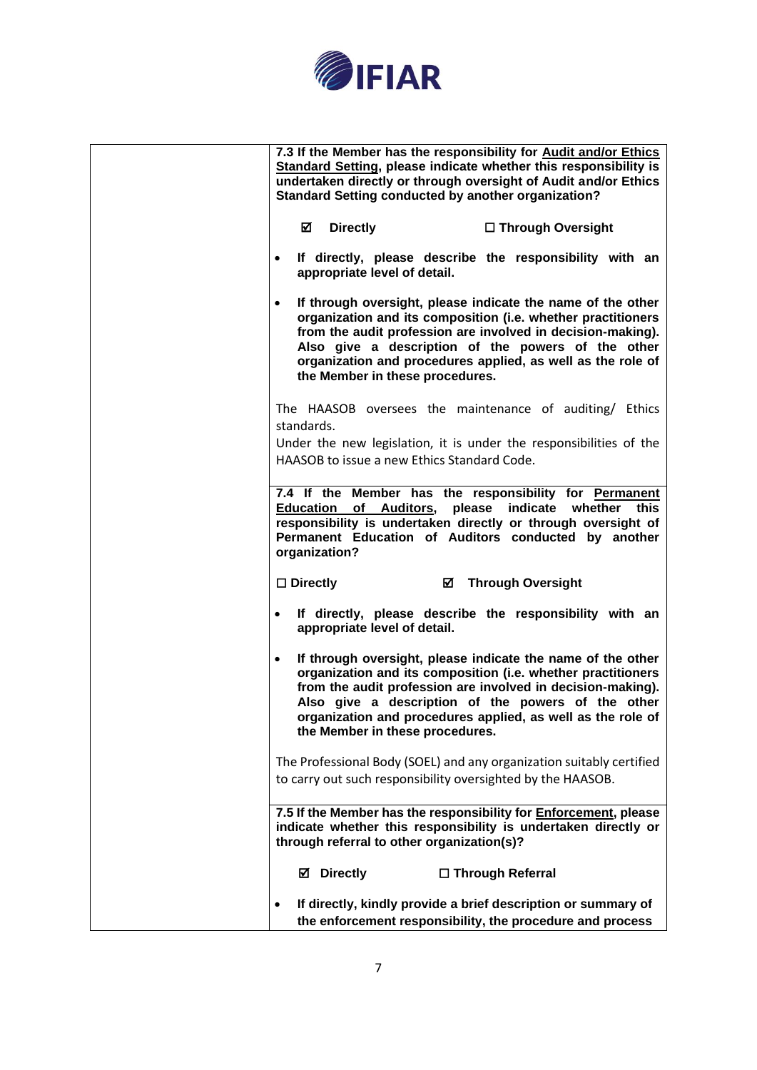

| 7.3 If the Member has the responsibility for Audit and/or Ethics                                                                                                                                                                                                                                                                                                |
|-----------------------------------------------------------------------------------------------------------------------------------------------------------------------------------------------------------------------------------------------------------------------------------------------------------------------------------------------------------------|
| Standard Setting, please indicate whether this responsibility is<br>undertaken directly or through oversight of Audit and/or Ethics<br><b>Standard Setting conducted by another organization?</b>                                                                                                                                                               |
| M<br><b>Directly</b><br>□ Through Oversight                                                                                                                                                                                                                                                                                                                     |
| If directly, please describe the responsibility with an<br>$\bullet$<br>appropriate level of detail.                                                                                                                                                                                                                                                            |
| If through oversight, please indicate the name of the other<br>$\bullet$<br>organization and its composition (i.e. whether practitioners<br>from the audit profession are involved in decision-making).<br>Also give a description of the powers of the other<br>organization and procedures applied, as well as the role of<br>the Member in these procedures. |
| The HAASOB oversees the maintenance of auditing/ Ethics<br>standards.                                                                                                                                                                                                                                                                                           |
| Under the new legislation, it is under the responsibilities of the<br>HAASOB to issue a new Ethics Standard Code.                                                                                                                                                                                                                                               |
| 7.4 If the Member has the responsibility for Permanent<br><b>Education of Auditors, please</b><br>indicate whether this<br>responsibility is undertaken directly or through oversight of<br>Permanent Education of Auditors conducted by another<br>organization?                                                                                               |
| $\Box$ Directly<br>☑<br><b>Through Oversight</b>                                                                                                                                                                                                                                                                                                                |
| If directly, please describe the responsibility with an<br>$\bullet$<br>appropriate level of detail.                                                                                                                                                                                                                                                            |
| If through oversight, please indicate the name of the other<br>٠<br>organization and its composition (i.e. whether practitioners<br>from the audit profession are involved in decision-making).<br>Also give a description of the powers of the other<br>organization and procedures applied, as well as the role of<br>the Member in these procedures.         |
| The Professional Body (SOEL) and any organization suitably certified                                                                                                                                                                                                                                                                                            |
| to carry out such responsibility oversighted by the HAASOB.                                                                                                                                                                                                                                                                                                     |
| 7.5 If the Member has the responsibility for <b>Enforcement</b> , please<br>indicate whether this responsibility is undertaken directly or<br>through referral to other organization(s)?                                                                                                                                                                        |
| <b>☑</b> Directly<br>□ Through Referral                                                                                                                                                                                                                                                                                                                         |
| If directly, kindly provide a brief description or summary of<br>$\bullet$<br>the enforcement responsibility, the procedure and process                                                                                                                                                                                                                         |